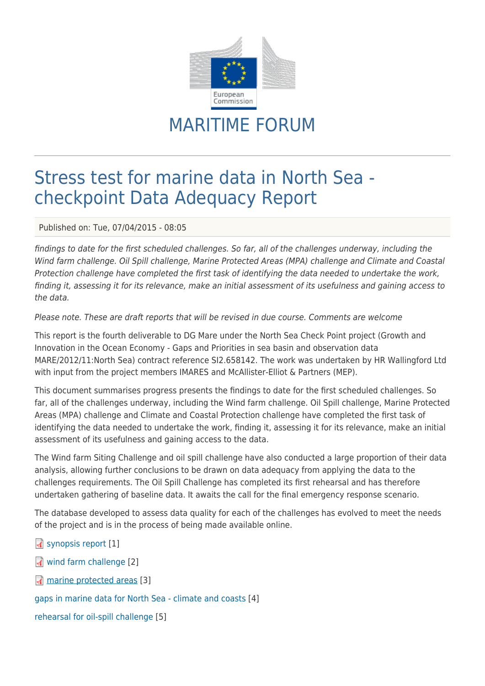

## MARITIME FORUM

## Stress test for marine data in North Sea checkpoint Data Adequacy Report

Published on: Tue, 07/04/2015 - 08:05

findings to date for the first scheduled challenges. So far, all of the challenges underway, including the Wind farm challenge. Oil Spill challenge, Marine Protected Areas (МРА) challenge and Climate and Coastal Protection challenge have completed the first task of identifying the data needed to undertake the work, finding it, assessing it for its relevance, make an initial assessment of its usefulness and gaining access to the data.

## Please note. These are draft reports that will be revised in due course. Comments are welcome

This report is the fourth deliverable to DG Mare under the North Sea Check Point project (Growth and Innovation in the Ocean Economy - Gaps and Priorities in sea basin and observation data MARE/2012/11:North Sea) contract reference SI2.658142. The work was undertaken by HR Wallingford Ltd with input from the project members IMARES and McAllister-Elliot & Partners (MEP).

This document summarises progress presents the findings to date for the first scheduled challenges. So far, all of the challenges underway, including the Wind farm challenge. Oil Spill challenge, Marine Protected Areas (МРА) challenge and Climate and Coastal Protection challenge have completed the first task of identifying the data needed to undertake the work, finding it, assessing it for its relevance, make an initial assessment of its usefulness and gaining access to the data.

The Wind farm Siting Challenge and oil spill challenge have also conducted a large proportion of their data analysis, allowing further conclusions to be drawn on data adequacy from applying the data to the challenges requirements. The Oil Spill Challenge has completed its first rehearsal and has therefore undertaken gathering of baseline data. It awaits the call for the final emergency response scenario.

The database developed to assess data quality for each of the challenges has evolved to meet the needs of the project and is in the process of being made available online.

- [synopsis report](https://webgate.ec.europa.eu/maritimeforum/sites/maritimeforum/system/system/files/DLS0342-RT004-R01-00.pdf) [1]
- [wind farm challenge](https://webgate.ec.europa.eu/maritimeforum/sites/maritimeforum/system/system/files/DLS0342-RT005-R01-00.pdf) [2]
- **M** [marine protected areas](https://webgate.ec.europa.eu/maritimeforum/sites/maritimeforum/system/system/files/DLS0342-RT006-R01-00_0.pdf) [3]

[gaps in marine data for North Sea - climate and coasts](https://webgate.ec.europa.eu/maritimeforum/node/3770) [4]

[rehearsal for oil-spill challenge](https://webgate.ec.europa.eu/maritimeforum/node/3669) [5]